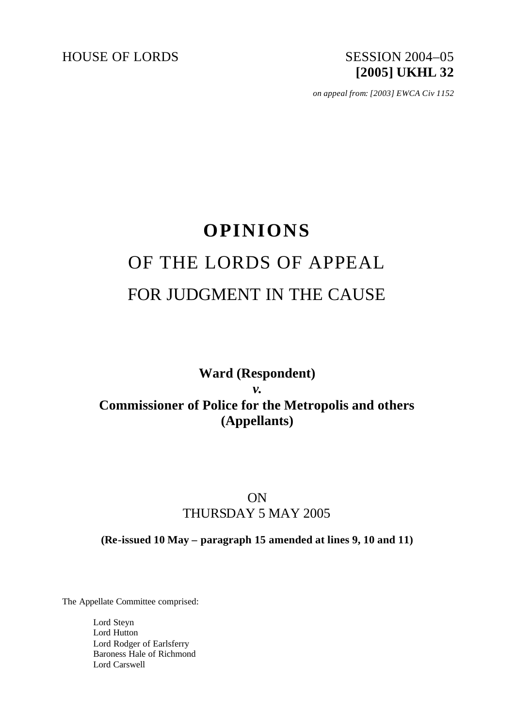HOUSE OF LORDS SESSION 2004-05

# **[2005] UKHL 32**

*on appeal from: [2003] EWCA Civ 1152*

## **OPINIONS** OF THE LORDS OF APPEAL FOR JUDGMENT IN THE CAUSE

## **Ward (Respondent)** *v.* **Commissioner of Police for the Metropolis and others (Appellants)**

### ON THURSDAY 5 MAY 2005

**(Re-issued 10 May – paragraph 15 amended at lines 9, 10 and 11)**

The Appellate Committee comprised:

Lord Steyn Lord Hutton Lord Rodger of Earlsferry Baroness Hale of Richmond Lord Carswell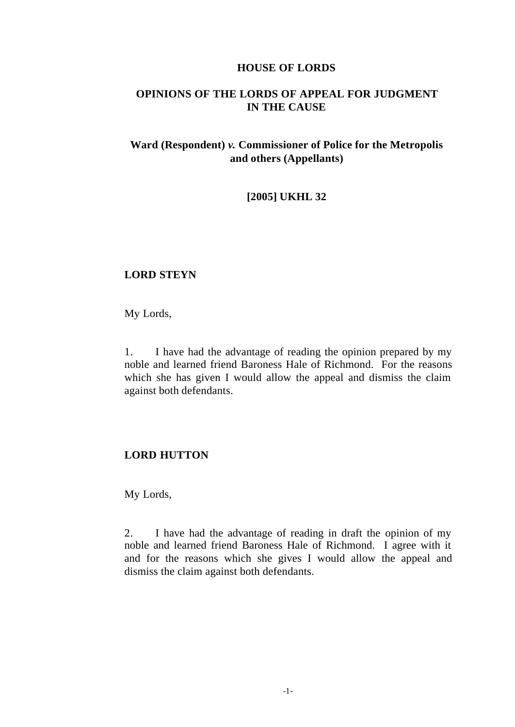#### **HOUSE OF LORDS**

#### **OPINIONS OF THE LORDS OF APPEAL FOR JUDGMENT IN THE CAUSE**

#### **Ward (Respondent)** *v.* **Commissioner of Police for the Metropolis and others (Appellants)**

#### **[2005] UKHL 32**

#### **LORD STEYN**

My Lords,

1. I have had the advantage of reading the opinion prepared by my noble and learned friend Baroness Hale of Richmond. For the reasons which she has given I would allow the appeal and dismiss the claim against both defendants.

#### **LORD HUTTON**

My Lords,

2. I have had the advantage of reading in draft the opinion of my noble and learned friend Baroness Hale of Richmond. I agree with it and for the reasons which she gives I would allow the appeal and dismiss the claim against both defendants.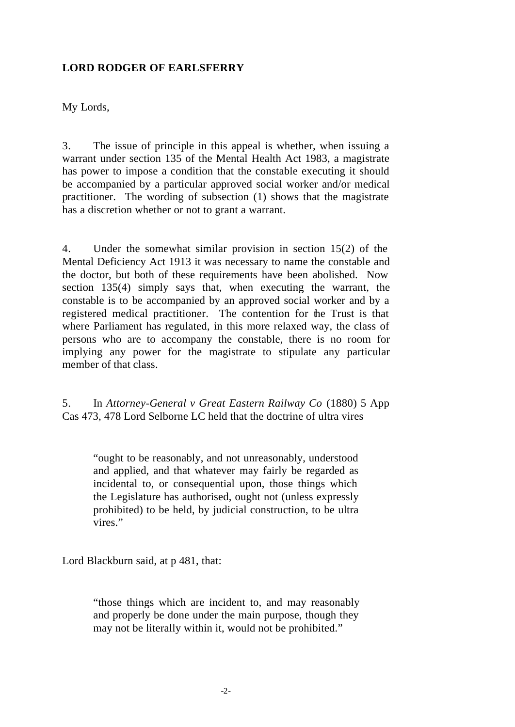#### **LORD RODGER OF EARLSFERRY**

My Lords,

3. The issue of principle in this appeal is whether, when issuing a warrant under section 135 of the Mental Health Act 1983, a magistrate has power to impose a condition that the constable executing it should be accompanied by a particular approved social worker and/or medical practitioner. The wording of subsection (1) shows that the magistrate has a discretion whether or not to grant a warrant.

4. Under the somewhat similar provision in section 15(2) of the Mental Deficiency Act 1913 it was necessary to name the constable and the doctor, but both of these requirements have been abolished. Now section 135(4) simply says that, when executing the warrant, the constable is to be accompanied by an approved social worker and by a registered medical practitioner. The contention for the Trust is that where Parliament has regulated, in this more relaxed way, the class of persons who are to accompany the constable, there is no room for implying any power for the magistrate to stipulate any particular member of that class.

5. In *Attorney-General v Great Eastern Railway Co* (1880) 5 App Cas 473, 478 Lord Selborne LC held that the doctrine of ultra vires

"ought to be reasonably, and not unreasonably, understood and applied, and that whatever may fairly be regarded as incidental to, or consequential upon, those things which the Legislature has authorised, ought not (unless expressly prohibited) to be held, by judicial construction, to be ultra vires."

Lord Blackburn said, at p 481, that:

"those things which are incident to, and may reasonably and properly be done under the main purpose, though they may not be literally within it, would not be prohibited."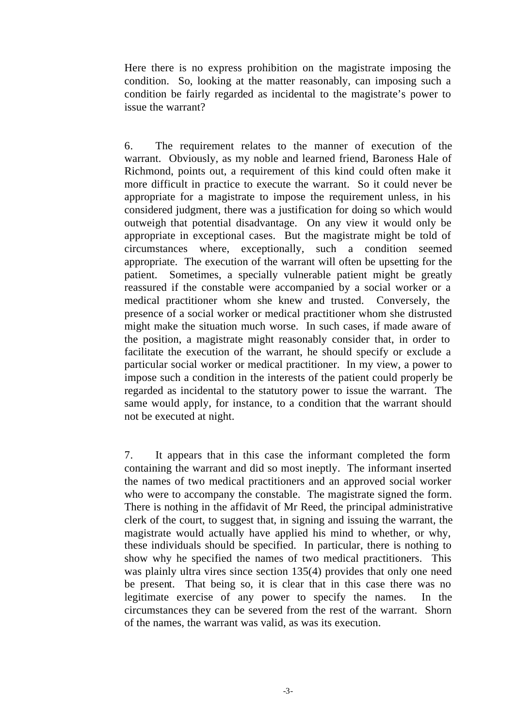Here there is no express prohibition on the magistrate imposing the condition. So, looking at the matter reasonably, can imposing such a condition be fairly regarded as incidental to the magistrate's power to issue the warrant?

6. The requirement relates to the manner of execution of the warrant. Obviously, as my noble and learned friend, Baroness Hale of Richmond, points out, a requirement of this kind could often make it more difficult in practice to execute the warrant. So it could never be appropriate for a magistrate to impose the requirement unless, in his considered judgment, there was a justification for doing so which would outweigh that potential disadvantage. On any view it would only be appropriate in exceptional cases. But the magistrate might be told of circumstances where, exceptionally, such a condition seemed appropriate. The execution of the warrant will often be upsetting for the patient. Sometimes, a specially vulnerable patient might be greatly reassured if the constable were accompanied by a social worker or a medical practitioner whom she knew and trusted. Conversely, the presence of a social worker or medical practitioner whom she distrusted might make the situation much worse. In such cases, if made aware of the position, a magistrate might reasonably consider that, in order to facilitate the execution of the warrant, he should specify or exclude a particular social worker or medical practitioner. In my view, a power to impose such a condition in the interests of the patient could properly be regarded as incidental to the statutory power to issue the warrant. The same would apply, for instance, to a condition that the warrant should not be executed at night.

7. It appears that in this case the informant completed the form containing the warrant and did so most ineptly. The informant inserted the names of two medical practitioners and an approved social worker who were to accompany the constable. The magistrate signed the form. There is nothing in the affidavit of Mr Reed, the principal administrative clerk of the court, to suggest that, in signing and issuing the warrant, the magistrate would actually have applied his mind to whether, or why, these individuals should be specified. In particular, there is nothing to show why he specified the names of two medical practitioners. This was plainly ultra vires since section 135(4) provides that only one need be present. That being so, it is clear that in this case there was no legitimate exercise of any power to specify the names. In the circumstances they can be severed from the rest of the warrant. Shorn of the names, the warrant was valid, as was its execution.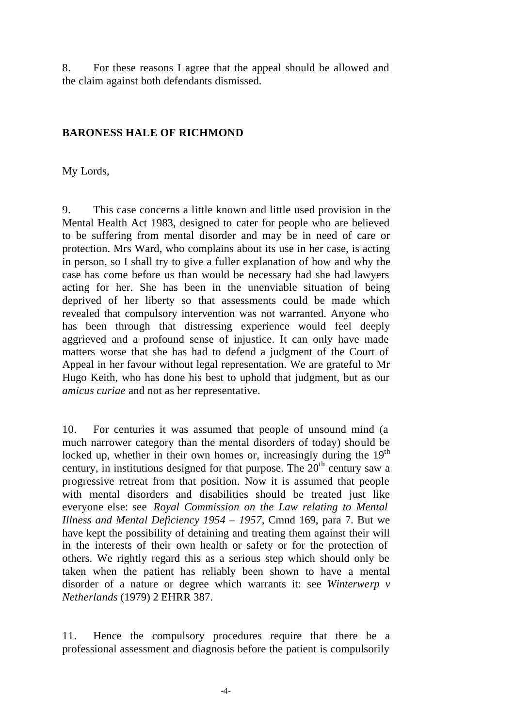8. For these reasons I agree that the appeal should be allowed and the claim against both defendants dismissed.

#### **BARONESS HALE OF RICHMOND**

My Lords,

9. This case concerns a little known and little used provision in the Mental Health Act 1983, designed to cater for people who are believed to be suffering from mental disorder and may be in need of care or protection. Mrs Ward, who complains about its use in her case, is acting in person, so I shall try to give a fuller explanation of how and why the case has come before us than would be necessary had she had lawyers acting for her. She has been in the unenviable situation of being deprived of her liberty so that assessments could be made which revealed that compulsory intervention was not warranted. Anyone who has been through that distressing experience would feel deeply aggrieved and a profound sense of injustice. It can only have made matters worse that she has had to defend a judgment of the Court of Appeal in her favour without legal representation. We are grateful to Mr Hugo Keith, who has done his best to uphold that judgment, but as our *amicus curiae* and not as her representative.

10. For centuries it was assumed that people of unsound mind (a much narrower category than the mental disorders of today) should be locked up, whether in their own homes or, increasingly during the  $19<sup>th</sup>$ century, in institutions designed for that purpose. The  $20<sup>th</sup>$  century saw a progressive retreat from that position. Now it is assumed that people with mental disorders and disabilities should be treated just like everyone else: see *Royal Commission on the Law relating to Mental Illness and Mental Deficiency 1954 – 1957*, Cmnd 169, para 7. But we have kept the possibility of detaining and treating them against their will in the interests of their own health or safety or for the protection of others. We rightly regard this as a serious step which should only be taken when the patient has reliably been shown to have a mental disorder of a nature or degree which warrants it: see *Winterwerp v Netherlands* (1979) 2 EHRR 387.

11. Hence the compulsory procedures require that there be a professional assessment and diagnosis before the patient is compulsorily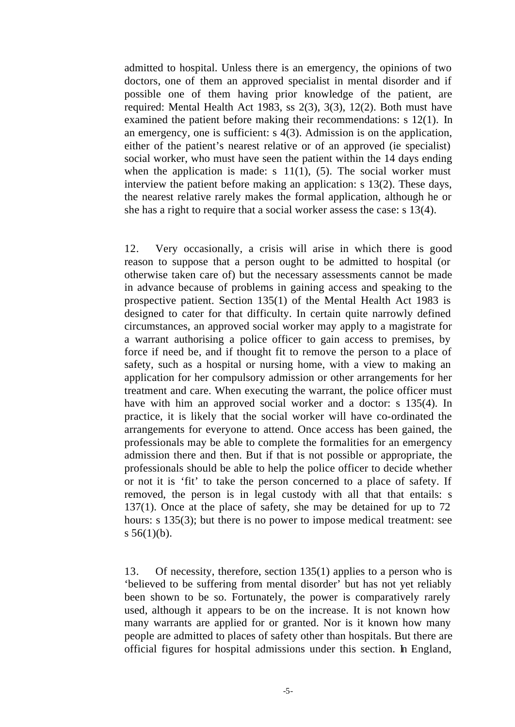admitted to hospital. Unless there is an emergency, the opinions of two doctors, one of them an approved specialist in mental disorder and if possible one of them having prior knowledge of the patient, are required: Mental Health Act 1983, ss 2(3), 3(3), 12(2). Both must have examined the patient before making their recommendations: s 12(1). In an emergency, one is sufficient: s 4(3). Admission is on the application, either of the patient's nearest relative or of an approved (ie specialist) social worker, who must have seen the patient within the 14 days ending when the application is made: s  $11(1)$ , (5). The social worker must interview the patient before making an application: s 13(2). These days, the nearest relative rarely makes the formal application, although he or she has a right to require that a social worker assess the case: s 13(4).

12. Very occasionally, a crisis will arise in which there is good reason to suppose that a person ought to be admitted to hospital (or otherwise taken care of) but the necessary assessments cannot be made in advance because of problems in gaining access and speaking to the prospective patient. Section 135(1) of the Mental Health Act 1983 is designed to cater for that difficulty. In certain quite narrowly defined circumstances, an approved social worker may apply to a magistrate for a warrant authorising a police officer to gain access to premises, by force if need be, and if thought fit to remove the person to a place of safety, such as a hospital or nursing home, with a view to making an application for her compulsory admission or other arrangements for her treatment and care. When executing the warrant, the police officer must have with him an approved social worker and a doctor: s 135(4). In practice, it is likely that the social worker will have co-ordinated the arrangements for everyone to attend. Once access has been gained, the professionals may be able to complete the formalities for an emergency admission there and then. But if that is not possible or appropriate, the professionals should be able to help the police officer to decide whether or not it is 'fit' to take the person concerned to a place of safety. If removed, the person is in legal custody with all that that entails: s 137(1). Once at the place of safety, she may be detained for up to 72 hours: s 135(3); but there is no power to impose medical treatment: see s  $56(1)(b)$ .

13. Of necessity, therefore, section 135(1) applies to a person who is 'believed to be suffering from mental disorder' but has not yet reliably been shown to be so. Fortunately, the power is comparatively rarely used, although it appears to be on the increase. It is not known how many warrants are applied for or granted. Nor is it known how many people are admitted to places of safety other than hospitals. But there are official figures for hospital admissions under this section. In England,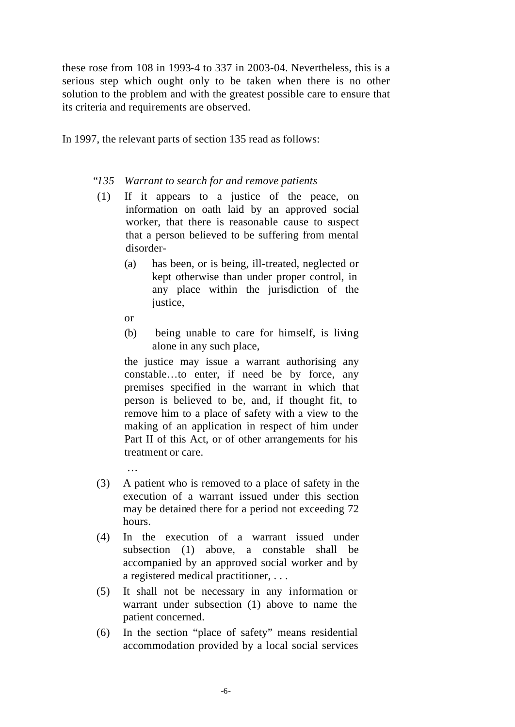these rose from 108 in 1993-4 to 337 in 2003-04. Nevertheless, this is a serious step which ought only to be taken when there is no other solution to the problem and with the greatest possible care to ensure that its criteria and requirements are observed.

In 1997, the relevant parts of section 135 read as follows:

#### "*135 Warrant to search for and remove patients*

- (1) If it appears to a justice of the peace, on information on oath laid by an approved social worker, that there is reasonable cause to suspect that a person believed to be suffering from mental disorder-
	- (a) has been, or is being, ill-treated, neglected or kept otherwise than under proper control, in any place within the jurisdiction of the justice,
	- or
	- (b) being unable to care for himself, is living alone in any such place,

the justice may issue a warrant authorising any constable…to enter, if need be by force, any premises specified in the warrant in which that person is believed to be, and, if thought fit, to remove him to a place of safety with a view to the making of an application in respect of him under Part II of this Act, or of other arrangements for his treatment or care.

- (3) A patient who is removed to a place of safety in the execution of a warrant issued under this section may be detained there for a period not exceeding 72 hours.
- (4) In the execution of a warrant issued under subsection (1) above, a constable shall be accompanied by an approved social worker and by a registered medical practitioner, . . .
- (5) It shall not be necessary in any information or warrant under subsection (1) above to name the patient concerned.
- (6) In the section "place of safety" means residential accommodation provided by a local social services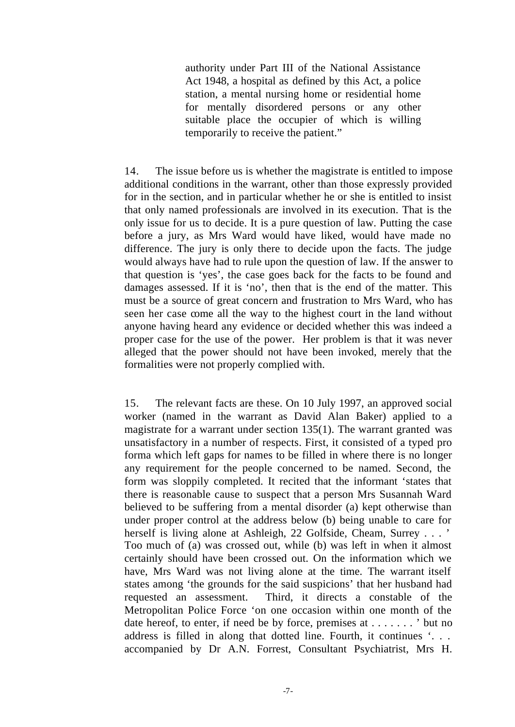authority under Part III of the National Assistance Act 1948, a hospital as defined by this Act, a police station, a mental nursing home or residential home for mentally disordered persons or any other suitable place the occupier of which is willing temporarily to receive the patient."

14. The issue before us is whether the magistrate is entitled to impose additional conditions in the warrant, other than those expressly provided for in the section, and in particular whether he or she is entitled to insist that only named professionals are involved in its execution. That is the only issue for us to decide. It is a pure question of law. Putting the case before a jury, as Mrs Ward would have liked, would have made no difference. The jury is only there to decide upon the facts. The judge would always have had to rule upon the question of law. If the answer to that question is 'yes', the case goes back for the facts to be found and damages assessed. If it is 'no', then that is the end of the matter. This must be a source of great concern and frustration to Mrs Ward, who has seen her case come all the way to the highest court in the land without anyone having heard any evidence or decided whether this was indeed a proper case for the use of the power. Her problem is that it was never alleged that the power should not have been invoked, merely that the formalities were not properly complied with.

15. The relevant facts are these. On 10 July 1997, an approved social worker (named in the warrant as David Alan Baker) applied to a magistrate for a warrant under section 135(1). The warrant granted was unsatisfactory in a number of respects. First, it consisted of a typed pro forma which left gaps for names to be filled in where there is no longer any requirement for the people concerned to be named. Second, the form was sloppily completed. It recited that the informant 'states that there is reasonable cause to suspect that a person Mrs Susannah Ward believed to be suffering from a mental disorder (a) kept otherwise than under proper control at the address below (b) being unable to care for herself is living alone at Ashleigh, 22 Golfside, Cheam, Surrey . . . ' Too much of (a) was crossed out, while (b) was left in when it almost certainly should have been crossed out. On the information which we have, Mrs Ward was not living alone at the time. The warrant itself states among 'the grounds for the said suspicions' that her husband had requested an assessment. Third, it directs a constable of the Metropolitan Police Force 'on one occasion within one month of the date hereof, to enter, if need be by force, premises at . . . . . . . ' but no address is filled in along that dotted line. Fourth, it continues '. . . accompanied by Dr A.N. Forrest, Consultant Psychiatrist, Mrs H.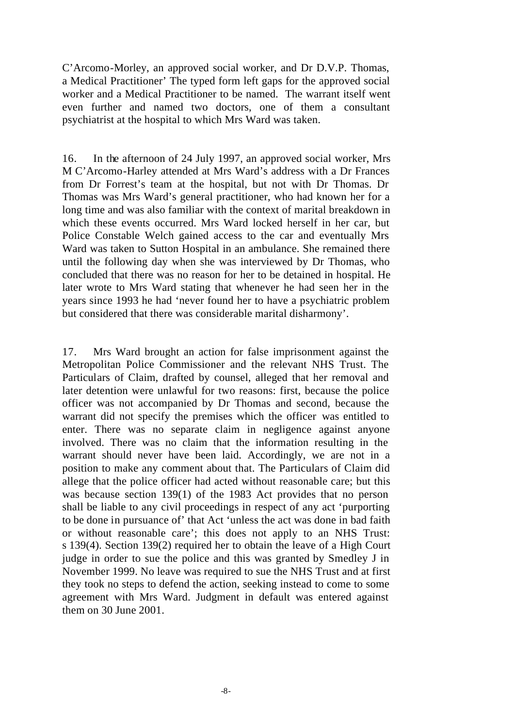C'Arcomo-Morley, an approved social worker, and Dr D.V.P. Thomas, a Medical Practitioner' The typed form left gaps for the approved social worker and a Medical Practitioner to be named. The warrant itself went even further and named two doctors, one of them a consultant psychiatrist at the hospital to which Mrs Ward was taken.

16. In the afternoon of 24 July 1997, an approved social worker, Mrs M C'Arcomo-Harley attended at Mrs Ward's address with a Dr Frances from Dr Forrest's team at the hospital, but not with Dr Thomas. Dr Thomas was Mrs Ward's general practitioner, who had known her for a long time and was also familiar with the context of marital breakdown in which these events occurred. Mrs Ward locked herself in her car, but Police Constable Welch gained access to the car and eventually Mrs Ward was taken to Sutton Hospital in an ambulance. She remained there until the following day when she was interviewed by Dr Thomas, who concluded that there was no reason for her to be detained in hospital. He later wrote to Mrs Ward stating that whenever he had seen her in the years since 1993 he had 'never found her to have a psychiatric problem but considered that there was considerable marital disharmony'.

17. Mrs Ward brought an action for false imprisonment against the Metropolitan Police Commissioner and the relevant NHS Trust. The Particulars of Claim, drafted by counsel, alleged that her removal and later detention were unlawful for two reasons: first, because the police officer was not accompanied by Dr Thomas and second, because the warrant did not specify the premises which the officer was entitled to enter. There was no separate claim in negligence against anyone involved. There was no claim that the information resulting in the warrant should never have been laid. Accordingly, we are not in a position to make any comment about that. The Particulars of Claim did allege that the police officer had acted without reasonable care; but this was because section 139(1) of the 1983 Act provides that no person shall be liable to any civil proceedings in respect of any act 'purporting to be done in pursuance of' that Act 'unless the act was done in bad faith or without reasonable care'; this does not apply to an NHS Trust: s 139(4). Section 139(2) required her to obtain the leave of a High Court judge in order to sue the police and this was granted by Smedley J in November 1999. No leave was required to sue the NHS Trust and at first they took no steps to defend the action, seeking instead to come to some agreement with Mrs Ward. Judgment in default was entered against them on 30 June 2001.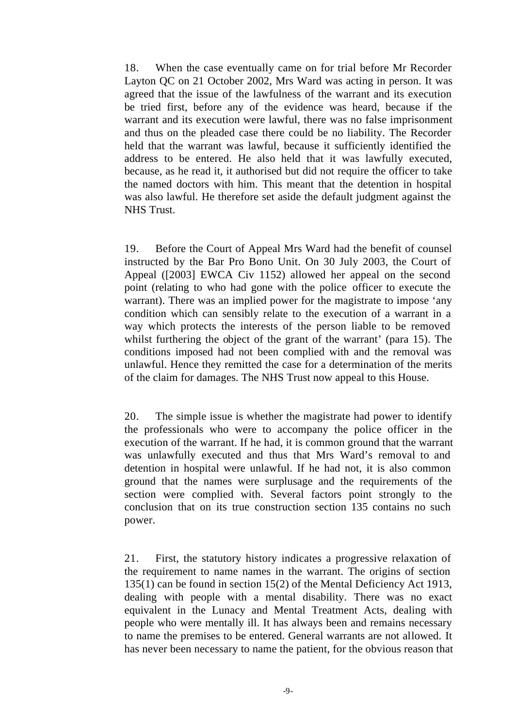18. When the case eventually came on for trial before Mr Recorder Layton QC on 21 October 2002, Mrs Ward was acting in person. It was agreed that the issue of the lawfulness of the warrant and its execution be tried first, before any of the evidence was heard, because if the warrant and its execution were lawful, there was no false imprisonment and thus on the pleaded case there could be no liability. The Recorder held that the warrant was lawful, because it sufficiently identified the address to be entered. He also held that it was lawfully executed, because, as he read it, it authorised but did not require the officer to take the named doctors with him. This meant that the detention in hospital was also lawful. He therefore set aside the default judgment against the NHS Trust.

19. Before the Court of Appeal Mrs Ward had the benefit of counsel instructed by the Bar Pro Bono Unit. On 30 July 2003, the Court of Appeal ([2003] EWCA Civ 1152) allowed her appeal on the second point (relating to who had gone with the police officer to execute the warrant). There was an implied power for the magistrate to impose 'any condition which can sensibly relate to the execution of a warrant in a way which protects the interests of the person liable to be removed whilst furthering the object of the grant of the warrant' (para 15). The conditions imposed had not been complied with and the removal was unlawful. Hence they remitted the case for a determination of the merits of the claim for damages. The NHS Trust now appeal to this House.

20. The simple issue is whether the magistrate had power to identify the professionals who were to accompany the police officer in the execution of the warrant. If he had, it is common ground that the warrant was unlawfully executed and thus that Mrs Ward's removal to and detention in hospital were unlawful. If he had not, it is also common ground that the names were surplusage and the requirements of the section were complied with. Several factors point strongly to the conclusion that on its true construction section 135 contains no such power.

21. First, the statutory history indicates a progressive relaxation of the requirement to name names in the warrant. The origins of section 135(1) can be found in section 15(2) of the Mental Deficiency Act 1913, dealing with people with a mental disability. There was no exact equivalent in the Lunacy and Mental Treatment Acts, dealing with people who were mentally ill. It has always been and remains necessary to name the premises to be entered. General warrants are not allowed. It has never been necessary to name the patient, for the obvious reason that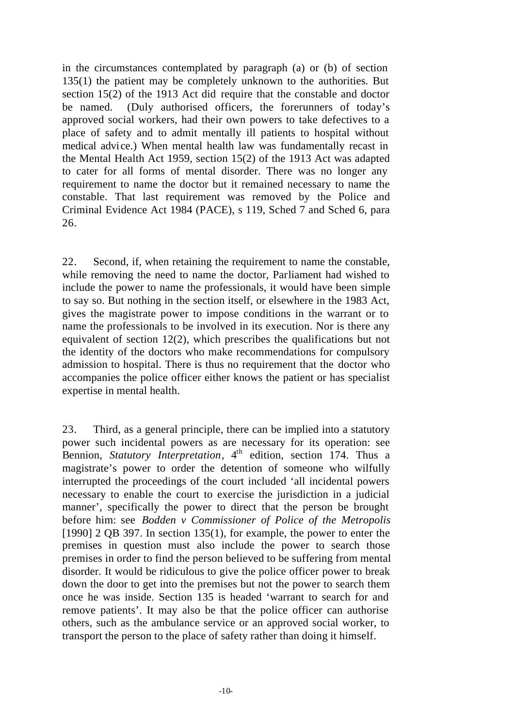in the circumstances contemplated by paragraph (a) or (b) of section 135(1) the patient may be completely unknown to the authorities. But section 15(2) of the 1913 Act did require that the constable and doctor be named. (Duly authorised officers, the forerunners of today's approved social workers, had their own powers to take defectives to a place of safety and to admit mentally ill patients to hospital without medical advice.) When mental health law was fundamentally recast in the Mental Health Act 1959, section 15(2) of the 1913 Act was adapted to cater for all forms of mental disorder. There was no longer any requirement to name the doctor but it remained necessary to name the constable. That last requirement was removed by the Police and Criminal Evidence Act 1984 (PACE), s 119, Sched 7 and Sched 6, para 26.

22. Second, if, when retaining the requirement to name the constable, while removing the need to name the doctor, Parliament had wished to include the power to name the professionals, it would have been simple to say so. But nothing in the section itself, or elsewhere in the 1983 Act, gives the magistrate power to impose conditions in the warrant or to name the professionals to be involved in its execution. Nor is there any equivalent of section 12(2), which prescribes the qualifications but not the identity of the doctors who make recommendations for compulsory admission to hospital. There is thus no requirement that the doctor who accompanies the police officer either knows the patient or has specialist expertise in mental health.

23. Third, as a general principle, there can be implied into a statutory power such incidental powers as are necessary for its operation: see Bennion, *Statutory Interpretation*, 4<sup>th</sup> edition, section 174. Thus a magistrate's power to order the detention of someone who wilfully interrupted the proceedings of the court included 'all incidental powers necessary to enable the court to exercise the jurisdiction in a judicial manner', specifically the power to direct that the person be brought before him: see *Bodden v Commissioner of Police of the Metropolis*  $[1990]$  2 QB 397. In section 135(1), for example, the power to enter the premises in question must also include the power to search those premises in order to find the person believed to be suffering from mental disorder. It would be ridiculous to give the police officer power to break down the door to get into the premises but not the power to search them once he was inside. Section 135 is headed 'warrant to search for and remove patients'. It may also be that the police officer can authorise others, such as the ambulance service or an approved social worker, to transport the person to the place of safety rather than doing it himself.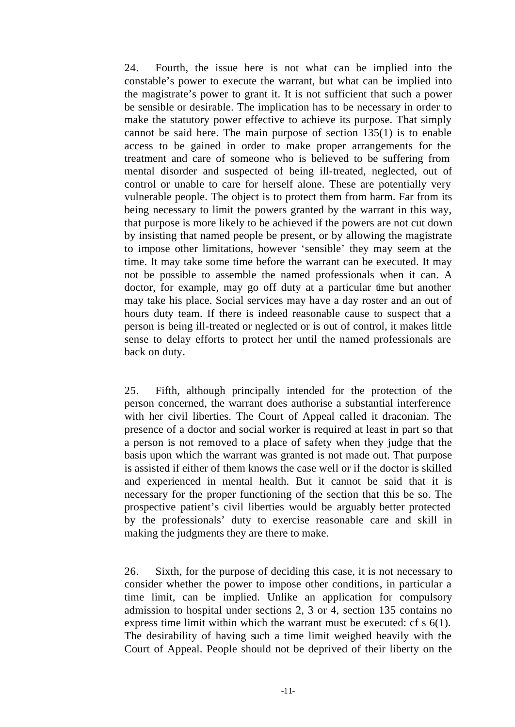24. Fourth, the issue here is not what can be implied into the constable's power to execute the warrant, but what can be implied into the magistrate's power to grant it. It is not sufficient that such a power be sensible or desirable. The implication has to be necessary in order to make the statutory power effective to achieve its purpose. That simply cannot be said here. The main purpose of section 135(1) is to enable access to be gained in order to make proper arrangements for the treatment and care of someone who is believed to be suffering from mental disorder and suspected of being ill-treated, neglected, out of control or unable to care for herself alone. These are potentially very vulnerable people. The object is to protect them from harm. Far from its being necessary to limit the powers granted by the warrant in this way, that purpose is more likely to be achieved if the powers are not cut down by insisting that named people be present, or by allowing the magistrate to impose other limitations, however 'sensible' they may seem at the time. It may take some time before the warrant can be executed. It may not be possible to assemble the named professionals when it can. A doctor, for example, may go off duty at a particular time but another may take his place. Social services may have a day roster and an out of hours duty team. If there is indeed reasonable cause to suspect that a person is being ill-treated or neglected or is out of control, it makes little sense to delay efforts to protect her until the named professionals are back on duty.

25. Fifth, although principally intended for the protection of the person concerned, the warrant does authorise a substantial interference with her civil liberties. The Court of Appeal called it draconian. The presence of a doctor and social worker is required at least in part so that a person is not removed to a place of safety when they judge that the basis upon which the warrant was granted is not made out. That purpose is assisted if either of them knows the case well or if the doctor is skilled and experienced in mental health. But it cannot be said that it is necessary for the proper functioning of the section that this be so. The prospective patient's civil liberties would be arguably better protected by the professionals' duty to exercise reasonable care and skill in making the judgments they are there to make.

26. Sixth, for the purpose of deciding this case, it is not necessary to consider whether the power to impose other conditions, in particular a time limit, can be implied. Unlike an application for compulsory admission to hospital under sections 2, 3 or 4, section 135 contains no express time limit within which the warrant must be executed: cf s 6(1). The desirability of having such a time limit weighed heavily with the Court of Appeal. People should not be deprived of their liberty on the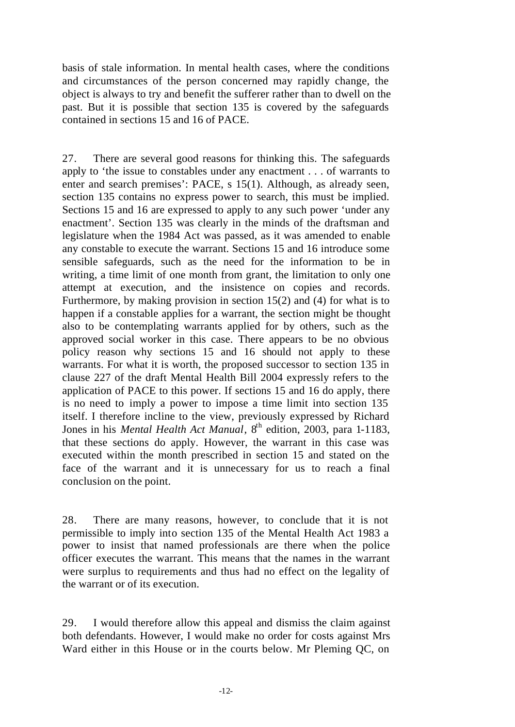basis of stale information. In mental health cases, where the conditions and circumstances of the person concerned may rapidly change, the object is always to try and benefit the sufferer rather than to dwell on the past. But it is possible that section 135 is covered by the safeguards contained in sections 15 and 16 of PACE.

27. There are several good reasons for thinking this. The safeguards apply to 'the issue to constables under any enactment . . . of warrants to enter and search premises': PACE, s 15(1). Although, as already seen, section 135 contains no express power to search, this must be implied. Sections 15 and 16 are expressed to apply to any such power 'under any enactment'. Section 135 was clearly in the minds of the draftsman and legislature when the 1984 Act was passed, as it was amended to enable any constable to execute the warrant. Sections 15 and 16 introduce some sensible safeguards, such as the need for the information to be in writing, a time limit of one month from grant, the limitation to only one attempt at execution, and the insistence on copies and records. Furthermore, by making provision in section 15(2) and (4) for what is to happen if a constable applies for a warrant, the section might be thought also to be contemplating warrants applied for by others, such as the approved social worker in this case. There appears to be no obvious policy reason why sections 15 and 16 should not apply to these warrants. For what it is worth, the proposed successor to section 135 in clause 227 of the draft Mental Health Bill 2004 expressly refers to the application of PACE to this power. If sections 15 and 16 do apply, there is no need to imply a power to impose a time limit into section 135 itself. I therefore incline to the view, previously expressed by Richard Jones in his *Mental Health Act Manual*, 8<sup>th</sup> edition, 2003, para 1-1183, that these sections do apply. However, the warrant in this case was executed within the month prescribed in section 15 and stated on the face of the warrant and it is unnecessary for us to reach a final conclusion on the point.

28. There are many reasons, however, to conclude that it is not permissible to imply into section 135 of the Mental Health Act 1983 a power to insist that named professionals are there when the police officer executes the warrant. This means that the names in the warrant were surplus to requirements and thus had no effect on the legality of the warrant or of its execution.

29. I would therefore allow this appeal and dismiss the claim against both defendants. However, I would make no order for costs against Mrs Ward either in this House or in the courts below. Mr Pleming QC, on